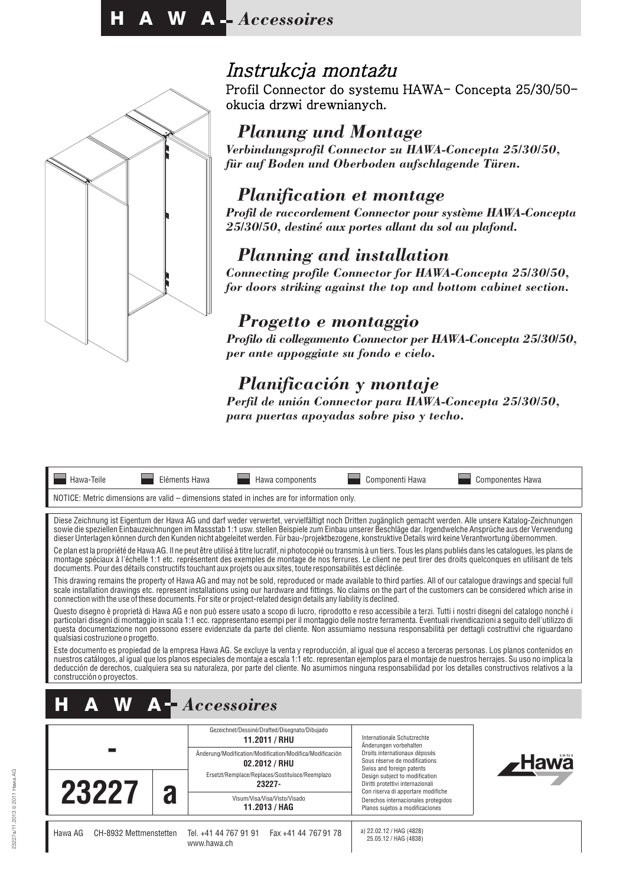

## Instrukcja montażu

Profil Connector do systemu HAWA- Concepta 25/30/50 okucia drzwi drewnianych.

### *Planung und Montage*

*Verbindungsprofil Connector zu HAWA-Concepta 25/30/50, für auf Boden und Oberboden aufschlagende Türen.*

### *Planification et montage*

*Profil de raccordement Connector pour système HAWA-Concepta 25/30/50, destiné aux portes allant du sol au plafond.*

### *Planning and installation*

*Connecting profile Connector for HAWA-Concepta 25/30/50, for doors striking against the top and bottom cabinet section.*

### *Progetto e montaggio*

*Profilo di collegamento Connector per HAWA-Concepta 25/30/50, per ante appoggiate su fondo e cielo.*

## *Planificación y montaje*

*Perfil de unión Connector para HAWA-Concepta 25/30/50, para puertas apoyadas sobre piso y techo.*

| Hawa-Teile                                                                                                                                                                                                                                                                                                                                                                                                                                                                                                                                  | Eléments Hawa                                                  | Hawa components                                                                                                              | Componenti Hawa                                                                                                                                        | <b>Componentes Hawa</b>                                                                                                                                                                                                                                                                                                                          |  |
|---------------------------------------------------------------------------------------------------------------------------------------------------------------------------------------------------------------------------------------------------------------------------------------------------------------------------------------------------------------------------------------------------------------------------------------------------------------------------------------------------------------------------------------------|----------------------------------------------------------------|------------------------------------------------------------------------------------------------------------------------------|--------------------------------------------------------------------------------------------------------------------------------------------------------|--------------------------------------------------------------------------------------------------------------------------------------------------------------------------------------------------------------------------------------------------------------------------------------------------------------------------------------------------|--|
|                                                                                                                                                                                                                                                                                                                                                                                                                                                                                                                                             |                                                                | NOTICE: Metric dimensions are valid – dimensions stated in inches are for information only.                                  |                                                                                                                                                        |                                                                                                                                                                                                                                                                                                                                                  |  |
|                                                                                                                                                                                                                                                                                                                                                                                                                                                                                                                                             |                                                                |                                                                                                                              | dieser Unterlagen können durch den Kunden nicht abgeleitet werden. Für bau-/projektbezogene, konstruktive Details wird keine Verantwortung übernommen. | Diese Zeichnung ist Eigentum der Hawa AG und darf weder verwertet, vervielfältigt noch Dritten zugänglich gemacht werden. Alle unsere Katalog-Zeichnungen<br>sowie die speziellen Einbauzeichnungen im Massstab 1:1 usw. stellen Beispiele zum Einbau unserer Beschläge dar. Irgendwelche Ansprüche aus der Verwendung                           |  |
|                                                                                                                                                                                                                                                                                                                                                                                                                                                                                                                                             |                                                                | documents. Pour des détails constructifs touchant aux projets ou aux sites, toute responsabilités est déclinée.              |                                                                                                                                                        | Ce plan est la propriété de Hawa AG. Il ne peut être utilisé à titre lucratif, ni photocopié ou transmis à un tiers. Tous les plans publiés dans les cataloques, les plans de<br>montage spéciaux à l'échelle 1:1 etc. représentent des exemples de montage de nos ferrures. Le client ne peut tirer des droits quelconques en utilisant de tels |  |
| This drawing remains the property of Hawa AG and may not be sold, reproduced or made available to third parties. All of our catalogue drawings and special full<br>scale installation drawings etc. represent installations using our hardware and fittings. No claims on the part of the customers can be considered which arise in<br>connection with the use of these documents. For site or project-related design details any liability is declined.                                                                                   |                                                                |                                                                                                                              |                                                                                                                                                        |                                                                                                                                                                                                                                                                                                                                                  |  |
| Questo disegno è proprietà di Hawa AG e non può essere usato a scopo di lucro, riprodotto e reso accessibile a terzi. Tutti i nostri disegni del catalogo nonché i<br>particolari disegni di montaggio in scala 1:1 ecc. rappresentano esempi per il montaggio delle nostre ferramenta. Eventuali rivendicazioni a seguito dell'utilizzo di<br>questa documentazione non possono essere evidenziate da parte del cliente. Non assumiamo nessuna responsabilità per dettagli costruttivi che riguardano<br>qualsiasi costruzione o progetto. |                                                                |                                                                                                                              |                                                                                                                                                        |                                                                                                                                                                                                                                                                                                                                                  |  |
| Este documento es propiedad de la empresa Hawa AG. Se excluye la venta y reproducción, al igual que el acceso a terceras personas. Los planos contenidos en<br>nuestros catálogos, al igual que los planos especiales de montaje a escala 1:1 etc. representan ejemplos para el montaje de nuestros herrajes. Su uso no implica la<br>deducción de derechos, cualquiera sea su naturaleza, por parte del cliente. No asumimos ninguna responsabilidad por los detalles constructivos relativos a la<br>construcción o provectos.            |                                                                |                                                                                                                              |                                                                                                                                                        |                                                                                                                                                                                                                                                                                                                                                  |  |
| <b>W</b> A- <i>Accessoires</i><br>Δ                                                                                                                                                                                                                                                                                                                                                                                                                                                                                                         |                                                                |                                                                                                                              |                                                                                                                                                        |                                                                                                                                                                                                                                                                                                                                                  |  |
|                                                                                                                                                                                                                                                                                                                                                                                                                                                                                                                                             |                                                                | Gezeichnet/Dessiné/Drafted/Disegnato/Dibujado<br>11.2011 / RHU                                                               | Internationale Schutzrechte<br>Änderungen vorbehalten                                                                                                  |                                                                                                                                                                                                                                                                                                                                                  |  |
|                                                                                                                                                                                                                                                                                                                                                                                                                                                                                                                                             |                                                                | Änderung/Modification/Modification/Modifica/Modificación<br>02.2012 / RHU<br>Ersetzt/Remplace/Replaces/Sostituisce/Reemplazo | Droits internationaux déposés<br>Sous réserve de modifications<br>Swiss and foreign patents<br>Design subject to modification                          |                                                                                                                                                                                                                                                                                                                                                  |  |
| 23227                                                                                                                                                                                                                                                                                                                                                                                                                                                                                                                                       |                                                                | 23227-<br>Visum/Visa/Visa/Visto/Visado<br>11.2013 / HAG                                                                      | Diritti protettivi internazionali<br>Con riserva di apportare modifiche<br>Derechos internacionales protegidos<br>Planos sujetos a modificaciones      |                                                                                                                                                                                                                                                                                                                                                  |  |
| Hawa AG                                                                                                                                                                                                                                                                                                                                                                                                                                                                                                                                     | CH-8932 Mettmenstetten<br>Tel. +41 44 767 91 91<br>www.hawa.ch | Fax +41 44 767 91 78                                                                                                         | a) 22.02.12 / HAG (4828)<br>25.05.12 / HAG (4838)                                                                                                      |                                                                                                                                                                                                                                                                                                                                                  |  |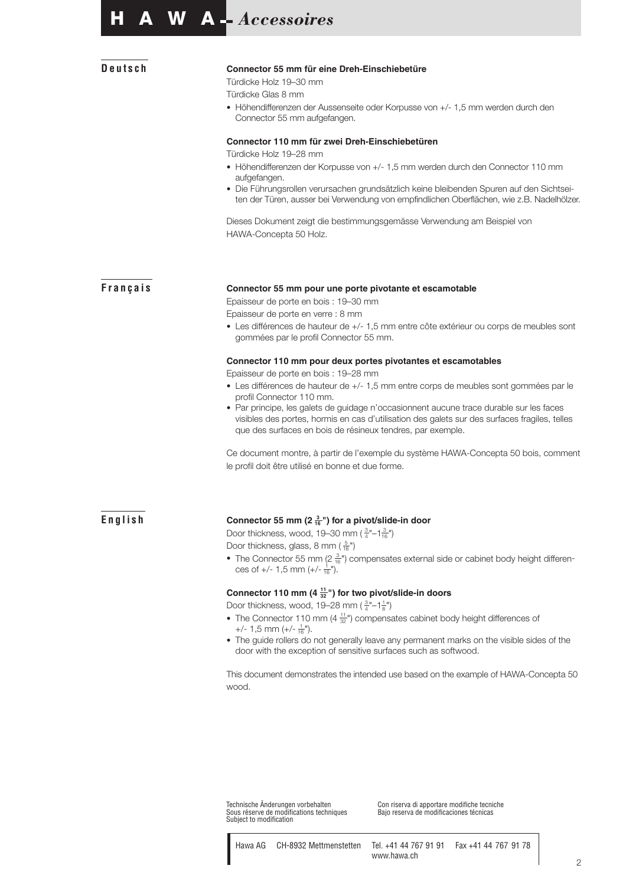### **Deutsch Connector 55 mm für eine Dreh-Einschiebetüre**

Türdicke Holz 19–30 mm

Türdicke Glas 8 mm

• Höhendifferenzen der Aussenseite oder Korpusse von +/- 1,5 mm werden durch den Connector 55 mm aufgefangen.

#### **Connector 110 mm für zwei Dreh-Einschiebetüren**

Türdicke Holz 19–28 mm

- Höhendifferenzen der Korpusse von +/- 1,5 mm werden durch den Connector 110 mm aufgefangen.
- Die Führungsrollen verursachen grundsätzlich keine bleibenden Spuren auf den Sichtseiten der Türen, ausser bei Verwendung von empfindlichen Oberflächen, wie z.B. Nadelhölzer.

Dieses Dokument zeigt die bestimmungsgemässe Verwendung am Beispiel von HAWA-Concepta 50 Holz.

#### **Français Connector 55 mm pour une porte pivotante et escamotable**

Epaisseur de porte en bois : 19–30 mm

Epaisseur de porte en verre : 8 mm

• Les différences de hauteur de +/- 1,5 mm entre côte extérieur ou corps de meubles sont gommées par le profil Connector 55 mm.

#### **Connector 110 mm pour deux portes pivotantes et escamotables**

Epaisseur de porte en bois : 19–28 mm

- Les différences de hauteur de +/- 1,5 mm entre corps de meubles sont gommées par le profil Connector 110 mm.
- Par principe, les galets de guidage n'occasionnent aucune trace durable sur les faces visibles des portes, hormis en cas d'utilisation des galets sur des surfaces fragiles, telles que des surfaces en bois de résineux tendres, par exemple.

Ce document montre, à partir de l'exemple du système HAWA-Concepta 50 bois, comment le profil doit être utilisé en bonne et due forme.

#### **English Connector 55 mm (2 <sup>3</sup> <sup>16</sup> ") for a pivot/slide-in door**

Door thickness, wood, 19–30 mm ( $\frac{3}{4}$ "–1 $\frac{3}{16}$ ") Door thickness, glass, 8 mm ( $\frac{5}{16}$ ")

• The Connector 55 mm (2 $\frac{3}{16}$ ") compensates external side or cabinet body height differences of  $+/- 1,5$  mm  $(+/- \frac{1}{16})$ .

#### **Connector 110 mm (4 <sup>11</sup> <sup>32</sup> ") for two pivot/slide-in doors**

Door thickness, wood, 19–28 mm ( $\frac{3}{4}$ "–1 $\frac{1}{8}$ ")

- The Connector 110 mm (4  $\frac{11}{32}$ ") compensates cabinet body height differences of +/- 1,5 mm (+/-  $\frac{1}{16}$ ").
- The guide rollers do not generally leave any permanent marks on the visible sides of the door with the exception of sensitive surfaces such as softwood.

This document demonstrates the intended use based on the example of HAWA-Concepta 50 wood.

Technische Änderungen vorbehalten<br>Sous réserve de modifications techniques Subject to modification

Con riserva di apportare modifiche tecniche<br>Bajo reserva de modificaciones técnicas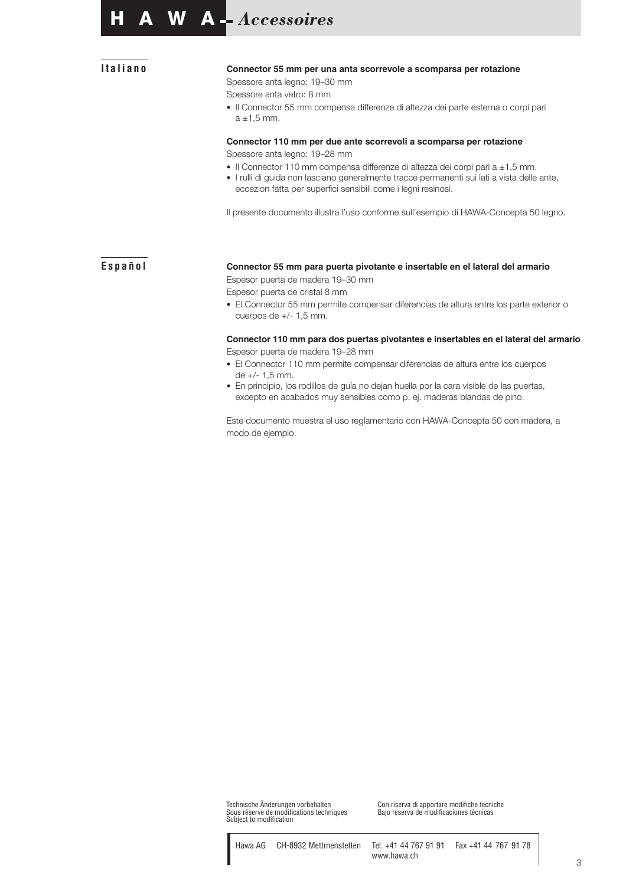### **Italiano Connector 55 mm per una anta scorrevole a scomparsa per rotazione**

Spessore anta legno: 19–30 mm

Spessore anta vetro: 8 mm

• Il Connector 55 mm compensa differenze di altezza dei parte esterna o corpi pari  $a \pm 1,5$  mm.

### **Connector 110 mm per due ante scorrevoli a scomparsa per rotazione**

Spessore anta legno: 19–28 mm

- Il Connector 110 mm compensa differenze di altezza dei corpi pari a ±1,5 mm.
- I rulli di guida non lasciano generalmente tracce permanenti sui lati a vista delle ante, eccezion fatta per superfici sensibili come i legni resinosi.

Il presente documento illustra l'uso conforme sull'esempio di HAWA-Concepta 50 legno.

### **Español Connector 55 mm para puerta pivotante e insertable en el lateral del armario** Espesor puerta de madera 19–30 mm

Espesor puerta de cristal 8 mm

• El Connector 55 mm permite compensar diferencias de altura entre los parte exterior o cuerpos de +/- 1,5 mm.

#### **Connector 110 mm para dos puertas pivotantes e insertables en el lateral del armario** Espesor puerta de madera 19–28 mm

- El Connector 110 mm permite compensar diferencias de altura entre los cuerpos de +/- 1,5 mm.
- En principio, los rodillos de guía no dejan huella por la cara visible de las puertas, excepto en acabados muy sensibles como p. ej. maderas blandas de pino.

Este documento muestra el uso reglamentario con HAWA-Concepta 50 con madera, a modo de ejemplo.

Technische Änderungen vorbehalten<br>Sous réserve de modifications techniques Subject to modification

Con riserva di apportare modifiche tecniche<br>Bajo reserva de modificaciones técnicas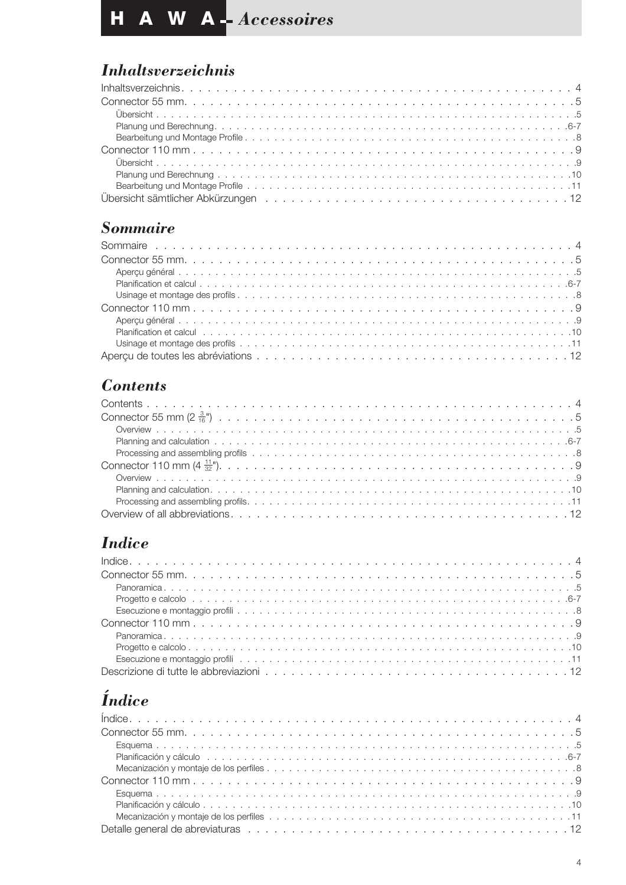# *Inhaltsverzeichnis*

## *Sommaire*

| Planification et calcul enterpresent enterpresent enterpresent enterpresent enterpresent enterpresent enterpre |
|----------------------------------------------------------------------------------------------------------------|
|                                                                                                                |
|                                                                                                                |

## *Contents*

# *Indice*

| Becuzione e montaggio profiliente e a conservación de conservación de conservación de conservación de conservación de conservación de conservación de conservación de conservación de conservación de conservación de conserva |
|--------------------------------------------------------------------------------------------------------------------------------------------------------------------------------------------------------------------------------|
|                                                                                                                                                                                                                                |
|                                                                                                                                                                                                                                |
|                                                                                                                                                                                                                                |
| Esecuzione e montaggio profiliarione del contrare del controllo del controlle del controlle del controlle del controlle del controlle del controlle del controlle del controlle del controlle del controlle del controlle del  |
|                                                                                                                                                                                                                                |

# *Índice*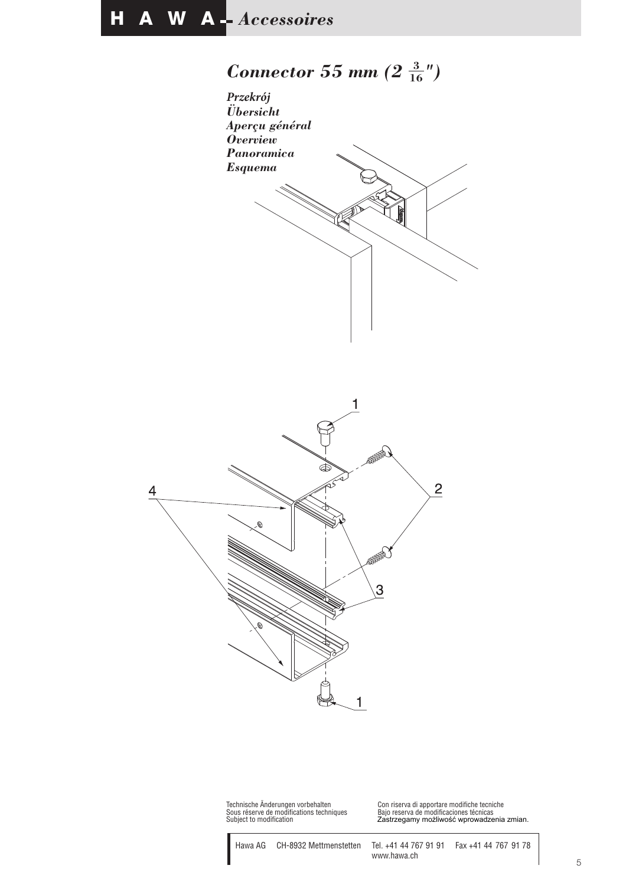# *Connector 55 mm (2* **<sup>3</sup> <sup>16</sup>***")*





Technische Änderungen vorbehalten<br>Sous réserve de modifications techniques<br>Subject to modification

Technische Änderungen vorbehalten Con riserva di apportare modifiche tecniche Subject to modification Zastrzegamy możliwość wprowadzenia zmian.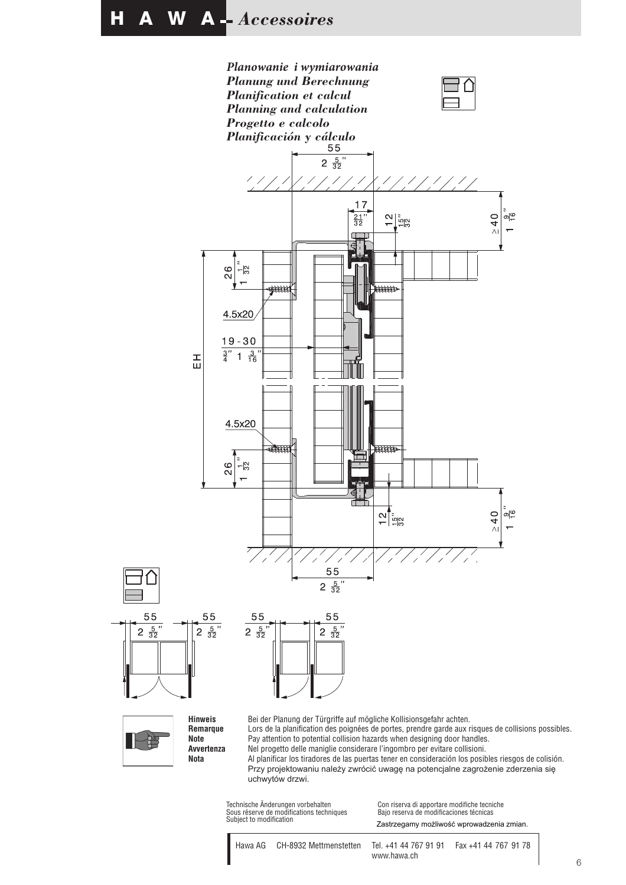

Lors de la planification des poignées de portes, prendre garde aux risques de collisions possibles. Pay attention to potential collision hazards when designing door handles. Nel progetto delle maniglie considerare l'ingombro per evitare collisioni.

Al planificar los tiradores de las puertas tener en consideración los posibles riesgos de colisión. Przy projektowaniu należy zwrócić uwagę na potencjalne zagrożenie zderzenia się uchwytów drzwi.

Technische Änderungen vorbehalten<br>Sous réserve de modifications techniques Subject to modification

**Note Avvertenza Nota**

55

2  $\frac{5}{32}$ 

ਖ਼ਿ

Con riserva di apportare modifiche tecniche<br>Bajo reserva de modificaciones técnicas Zastrzegamy możliwość wprowadzenia zmian.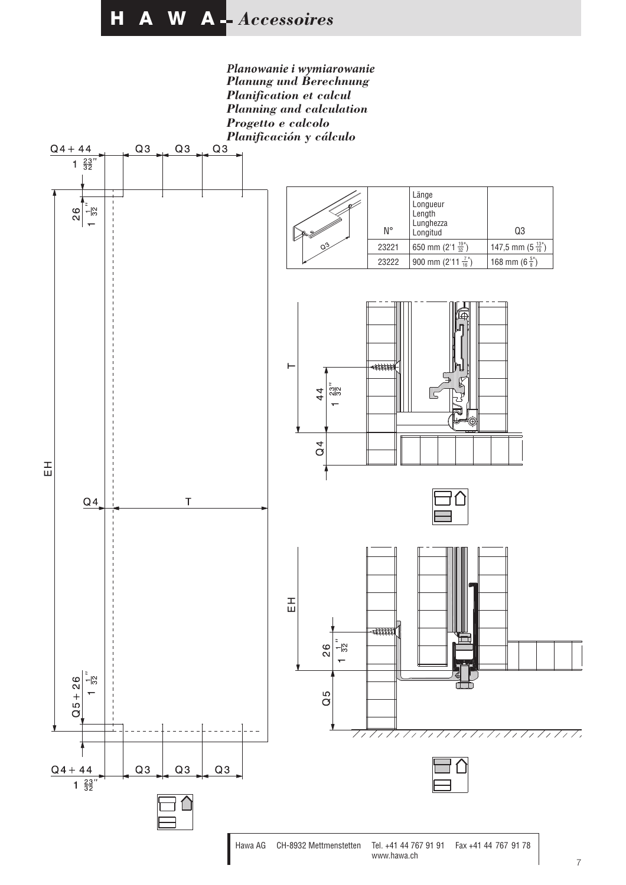*Planowanie i wymiarowanie Planung und Berechnung Planification et calcul Planning and calculation Progetto e calcolo*

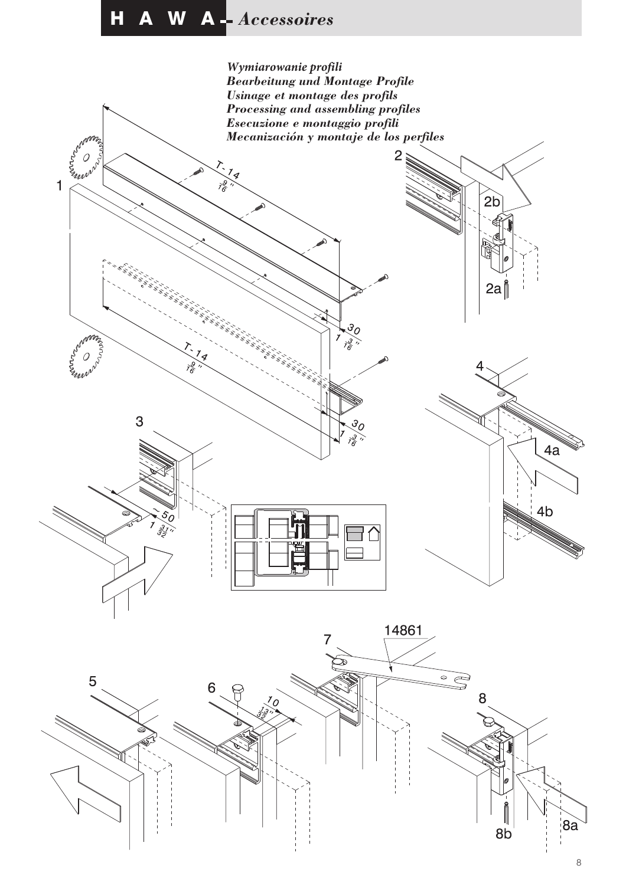

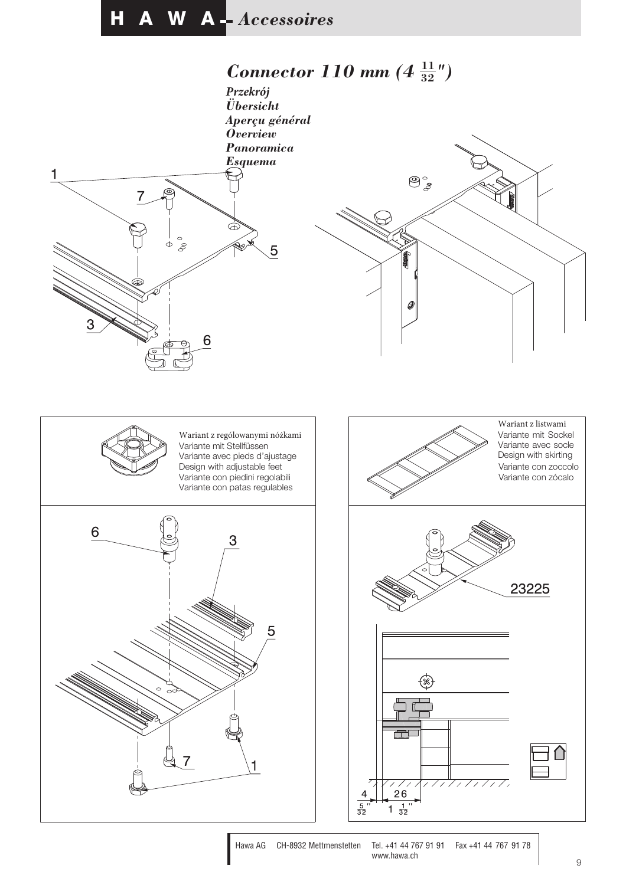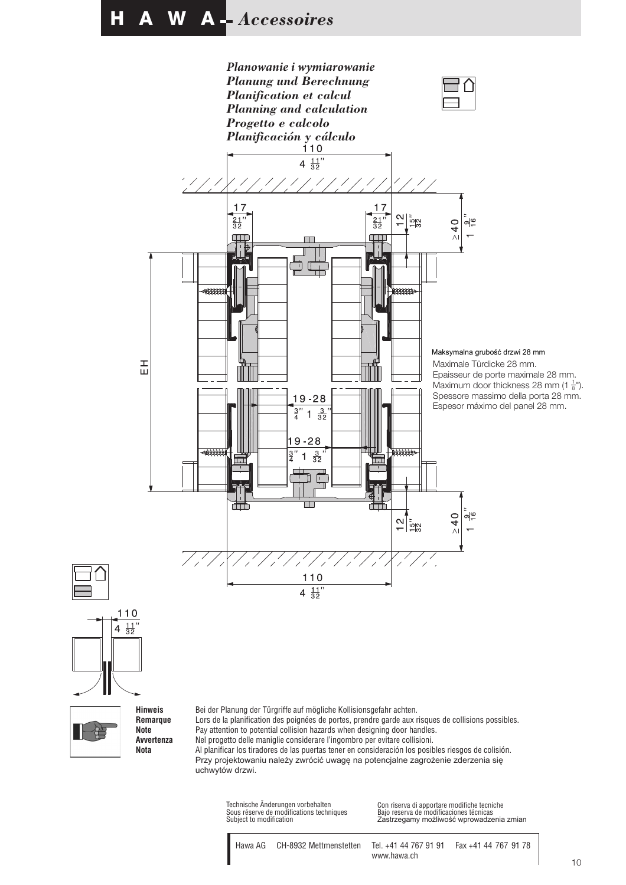

**Remarque Note Avvertenza Nota**

Lors de la planification des poignées de portes, prendre garde aux risques de collisions possibles. Pay attention to potential collision hazards when designing door handles. Nel progetto delle maniglie considerare l'ingombro per evitare collisioni. Al planificar los tiradores de las puertas tener en consideración los posibles riesgos de colisión. Przy projektowaniu należy zwrócić uwagę na potencjalne zagrożenie zderzenia się uchwytów drzwi.

Technische Änderungen vorbehalten Sous réserve de modifications techniques

Con riserva di apportare modifiche tecniche Bajo reserva de modificaciones técnicas Subject to modification Zastrzegamy możliwość wprowadzenia zmian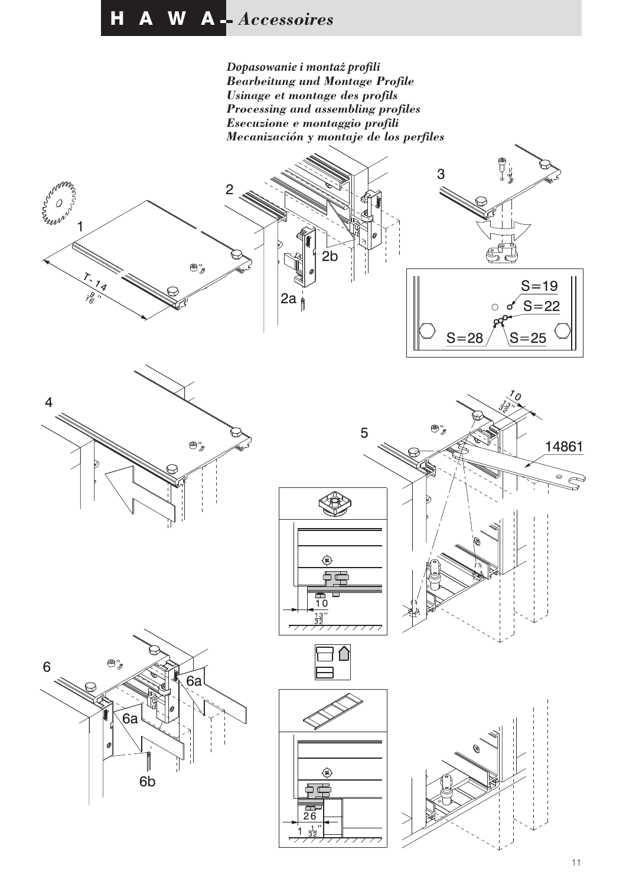